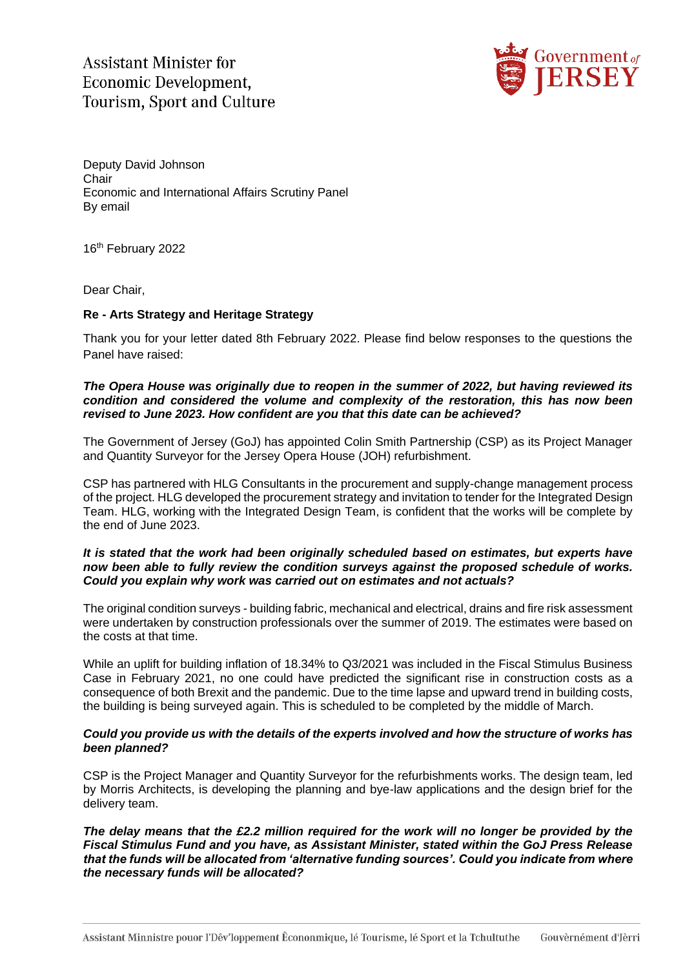**Assistant Minister for** Economic Development. **Tourism, Sport and Culture** 



Deputy David Johnson **Chair** Economic and International Affairs Scrutiny Panel By email

16<sup>th</sup> February 2022

Dear Chair,

# **Re - Arts Strategy and Heritage Strategy**

Thank you for your letter dated 8th February 2022. Please find below responses to the questions the Panel have raised:

# *The Opera House was originally due to reopen in the summer of 2022, but having reviewed its condition and considered the volume and complexity of the restoration, this has now been revised to June 2023. How confident are you that this date can be achieved?*

The Government of Jersey (GoJ) has appointed Colin Smith Partnership (CSP) as its Project Manager and Quantity Surveyor for the Jersey Opera House (JOH) refurbishment.

CSP has partnered with HLG Consultants in the procurement and supply-change management process of the project. HLG developed the procurement strategy and invitation to tender for the Integrated Design Team. HLG, working with the Integrated Design Team, is confident that the works will be complete by the end of June 2023.

### *It is stated that the work had been originally scheduled based on estimates, but experts have now been able to fully review the condition surveys against the proposed schedule of works. Could you explain why work was carried out on estimates and not actuals?*

The original condition surveys - building fabric, mechanical and electrical, drains and fire risk assessment were undertaken by construction professionals over the summer of 2019. The estimates were based on the costs at that time.

While an uplift for building inflation of 18.34% to Q3/2021 was included in the Fiscal Stimulus Business Case in February 2021, no one could have predicted the significant rise in construction costs as a consequence of both Brexit and the pandemic. Due to the time lapse and upward trend in building costs, the building is being surveyed again. This is scheduled to be completed by the middle of March.

# *Could you provide us with the details of the experts involved and how the structure of works has been planned?*

CSP is the Project Manager and Quantity Surveyor for the refurbishments works. The design team, led by Morris Architects, is developing the planning and bye-law applications and the design brief for the delivery team.

*The delay means that the £2.2 million required for the work will no longer be provided by the Fiscal Stimulus Fund and you have, as Assistant Minister, stated within the GoJ Press Release that the funds will be allocated from 'alternative funding sources'. Could you indicate from where the necessary funds will be allocated?*